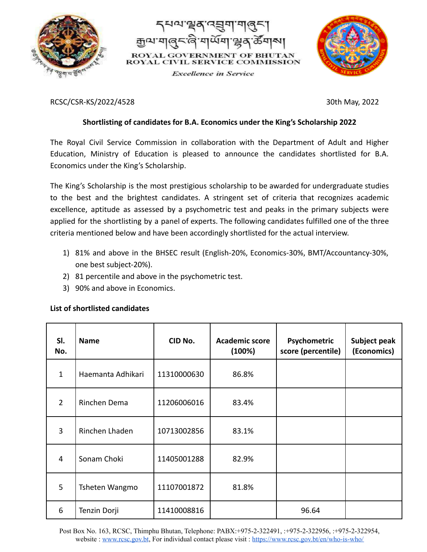



**Excellence** in Service



RCSC/CSR-KS/2022/4528 30th May, 2022

## **Shortlisting of candidates for B.A. Economics under the King's Scholarship 2022**

The Royal Civil Service Commission in collaboration with the Department of Adult and Higher Education, Ministry of Education is pleased to announce the candidates shortlisted for B.A. Economics under the King's Scholarship.

The King's Scholarship is the most prestigious scholarship to be awarded for undergraduate studies to the best and the brightest candidates. A stringent set of criteria that recognizes academic excellence, aptitude as assessed by a psychometric test and peaks in the primary subjects were applied for the shortlisting by a panel of experts. The following candidates fulfilled one of the three criteria mentioned below and have been accordingly shortlisted for the actual interview.

- 1) 81% and above in the BHSEC result (English-20%, Economics-30%, BMT/Accountancy-30%, one best subject-20%).
- 2) 81 percentile and above in the psychometric test.
- 3) 90% and above in Economics.

## **List of shortlisted candidates**

| SI.<br>No.     | <b>Name</b>       | CID No.     | <b>Academic score</b><br>(100%) | Psychometric<br>score (percentile) | Subject peak<br>(Economics) |
|----------------|-------------------|-------------|---------------------------------|------------------------------------|-----------------------------|
| $\mathbf{1}$   | Haemanta Adhikari | 11310000630 | 86.8%                           |                                    |                             |
| $\overline{2}$ | Rinchen Dema      | 11206006016 | 83.4%                           |                                    |                             |
| 3              | Rinchen Lhaden    | 10713002856 | 83.1%                           |                                    |                             |
| 4              | Sonam Choki       | 11405001288 | 82.9%                           |                                    |                             |
| 5              | Tsheten Wangmo    | 11107001872 | 81.8%                           |                                    |                             |
| 6              | Tenzin Dorji      | 11410008816 |                                 | 96.64                              |                             |

Post Box No. 163, RCSC, Thimphu Bhutan, Telephone: PABX:+975-2-322491, :+975-2-322956, :+975-2-322954, website : [www.rcsc.gov.bt](http://www.rcsc.gov.bt), For individual contact please visit : <https://www.rcsc.gov.bt/en/who-is-who/>